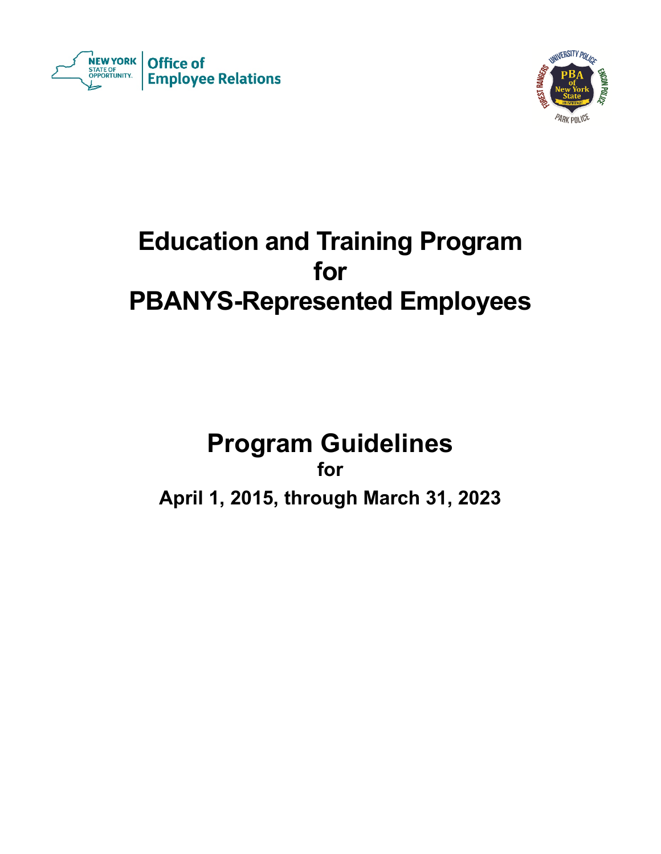



# **Education and Training Program for PBANYS-Represented Employees**

# **Program Guidelines for April 1, 2015, through March 31, 2023**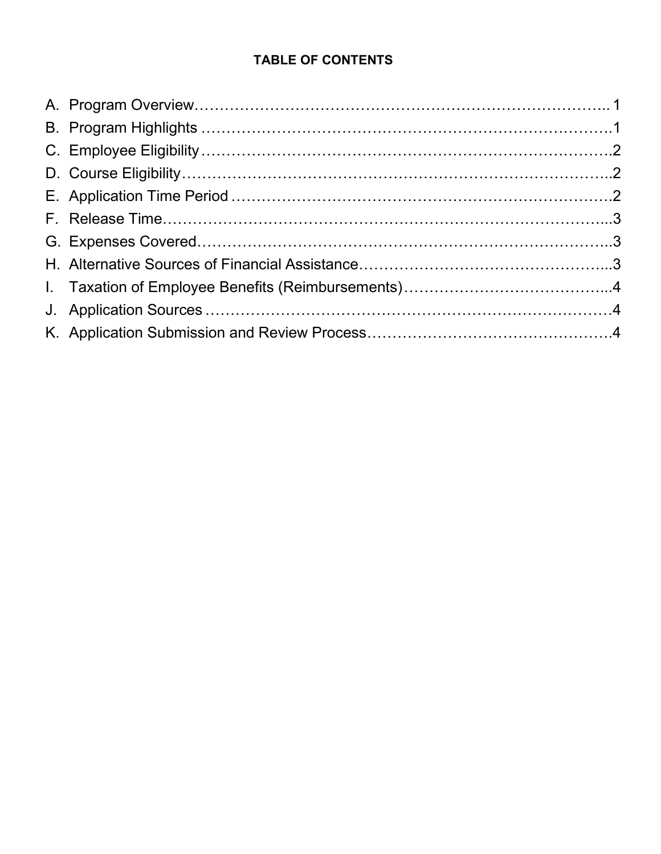# **TABLE OF CONTENTS**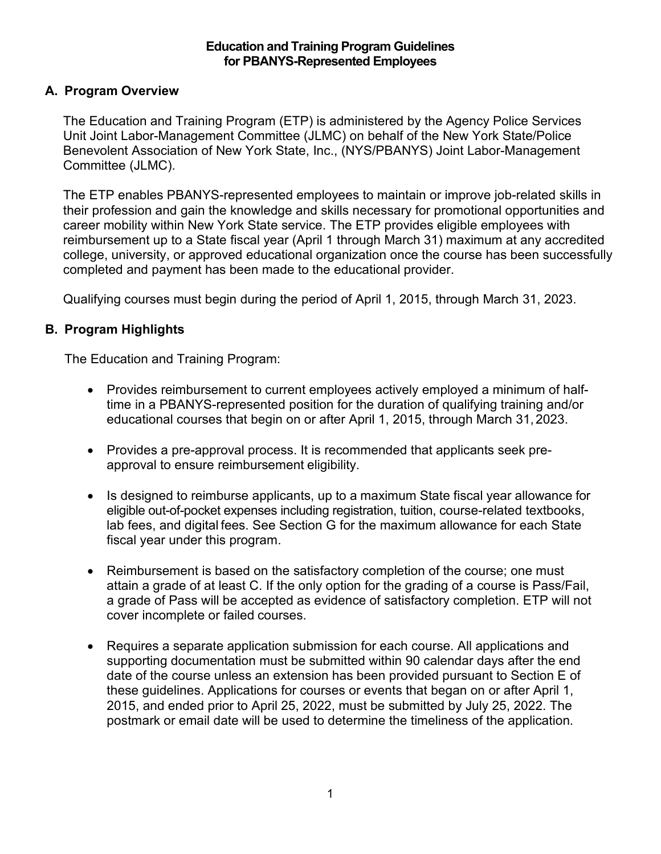#### **Education and Training Program Guidelines for PBANYS-Represented Employees**

# <span id="page-2-0"></span>**A. Program Overview**

The Education and Training Program (ETP) is administered by the Agency Police Services Unit Joint Labor-Management Committee (JLMC) on behalf of the New York State/Police Benevolent Association of New York State, Inc., (NYS/PBANYS) Joint Labor-Management Committee (JLMC).

The ETP enables PBANYS-represented employees to maintain or improve job-related skills in their profession and gain the knowledge and skills necessary for promotional opportunities and career mobility within New York State service. The ETP provides eligible employees with reimbursement up to a State fiscal year (April 1 through March 31) maximum at any accredited college, university, or approved educational organization once the course has been successfully completed and payment has been made to the educational provider.

Qualifying courses must begin during the period of April 1, 2015, through March 31, 2023.

### <span id="page-2-1"></span>**B. Program Highlights**

The Education and Training Program:

- Provides reimbursement to current employees actively employed a minimum of halftime in a PBANYS-represented position for the duration of qualifying training and/or educational courses that begin on or after April 1, 2015, through March 31, 2023.
- Provides a pre-approval process. It is recommended that applicants seek preapproval to ensure reimbursement eligibility.
- Is designed to reimburse applicants, up to a maximum State fiscal year allowance for eligible out-of-pocket expenses including registration, tuition, course-related textbooks, lab fees, and digital fees. See Section G for the maximum allowance for each State fiscal year under this program.
- Reimbursement is based on the satisfactory completion of the course; one must attain a grade of at least C. If the only option for the grading of a course is Pass/Fail, a grade of Pass will be accepted as evidence of satisfactory completion. ETP will not cover incomplete or failed courses.
- Requires a separate application submission for each course. All applications and supporting documentation must be submitted within 90 calendar days after the end date of the course unless an extension has been provided pursuant to Section E of these guidelines. Applications for courses or events that began on or after April 1, 2015, and ended prior to April 25, 2022, must be submitted by July 25, 2022. The postmark or email date will be used to determine the timeliness of the application.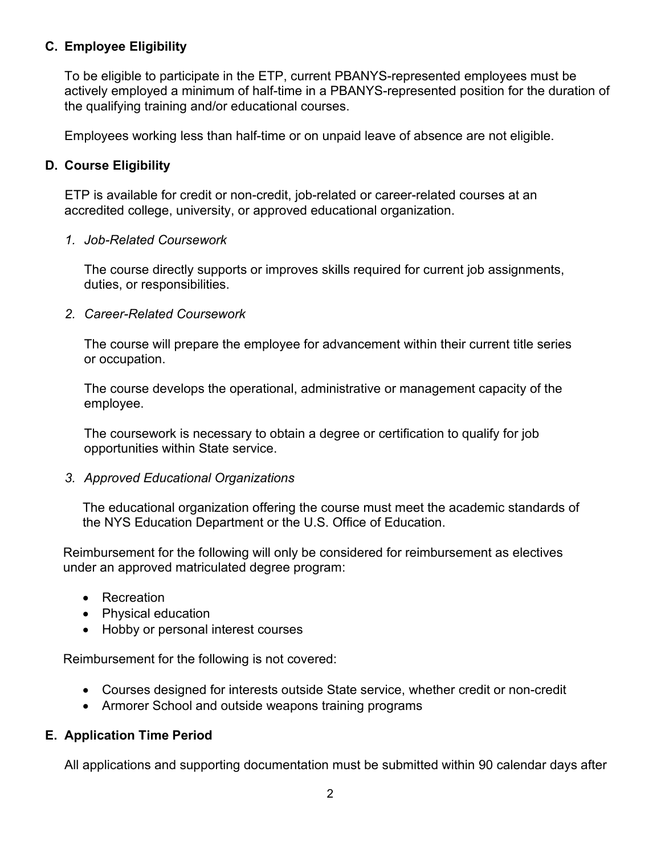### <span id="page-3-0"></span>**C. Employee Eligibility**

To be eligible to participate in the ETP, current PBANYS-represented employees must be actively employed a minimum of half-time in a PBANYS-represented position for the duration of the qualifying training and/or educational courses.

Employees working less than half-time or on unpaid leave of absence are not eligible.

### <span id="page-3-1"></span>**D. Course Eligibility**

ETP is available for credit or non-credit, job-related or career-related courses at an accredited college, university, or approved educational organization.

#### *1. Job-Related Coursework*

The course directly supports or improves skills required for current job assignments, duties, or responsibilities.

#### *2. Career-Related Coursework*

The course will prepare the employee for advancement within their current title series or occupation.

The course develops the operational, administrative or management capacity of the employee.

The coursework is necessary to obtain a degree or certification to qualify for job opportunities within State service.

#### *3. Approved Educational Organizations*

The educational organization offering the course must meet the academic standards of the NYS Education Department or the U.S. Office of Education.

Reimbursement for the following will only be considered for reimbursement as electives under an approved matriculated degree program:

- Recreation
- Physical education
- Hobby or personal interest courses

Reimbursement for the following is not covered:

- Courses designed for interests outside State service, whether credit or non-credit
- Armorer School and outside weapons training programs

### <span id="page-3-2"></span>**E. Application Time Period**

All applications and supporting documentation must be submitted within 90 calendar days after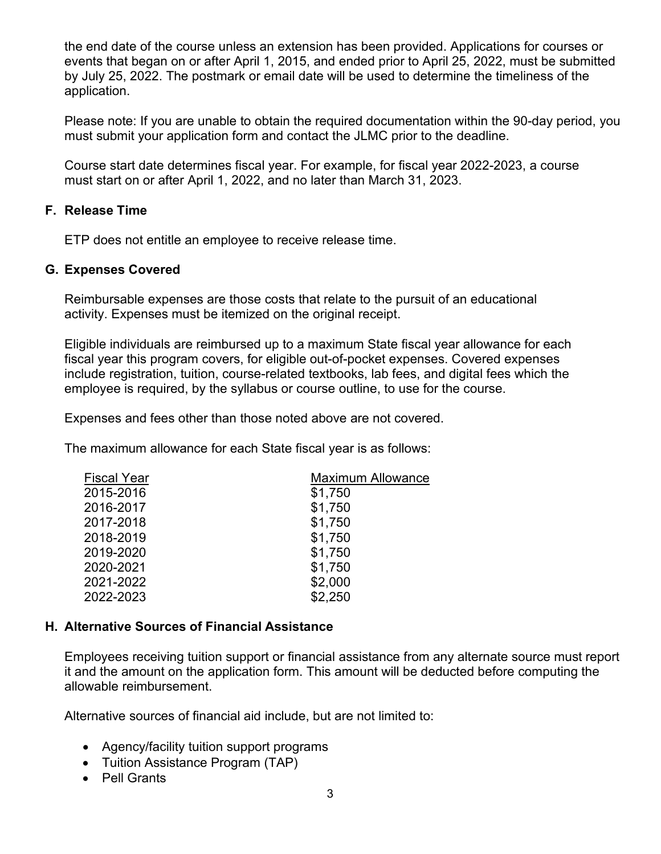the end date of the course unless an extension has been provided. Applications for courses or events that began on or after April 1, 2015, and ended prior to April 25, 2022, must be submitted by July 25, 2022. The postmark or email date will be used to determine the timeliness of the application.

Please note: If you are unable to obtain the required documentation within the 90-day period, you must submit your application form and contact the JLMC prior to the deadline.

Course start date determines fiscal year. For example, for fiscal year 2022-2023, a course must start on or after April 1, 2022, and no later than March 31, 2023.

#### <span id="page-4-0"></span>**F. Release Time**

ETP does not entitle an employee to receive release time.

#### <span id="page-4-1"></span>**G. Expenses Covered**

Reimbursable expenses are those costs that relate to the pursuit of an educational activity. Expenses must be itemized on the original receipt.

Eligible individuals are reimbursed up to a maximum State fiscal year allowance for each fiscal year this program covers, for eligible out-of-pocket expenses. Covered expenses include registration, tuition, course-related textbooks, lab fees, and digital fees which the employee is required, by the syllabus or course outline, to use for the course.

Expenses and fees other than those noted above are not covered.

The maximum allowance for each State fiscal year is as follows:

| <b>Fiscal Year</b> | <b>Maximum Allowance</b> |  |
|--------------------|--------------------------|--|
| 2015-2016          | \$1,750                  |  |
| 2016-2017          | \$1,750                  |  |
| 2017-2018          | \$1,750                  |  |
| 2018-2019          | \$1,750                  |  |
| 2019-2020          | \$1,750                  |  |
| 2020-2021          | \$1,750                  |  |
| 2021-2022          | \$2,000                  |  |
| 2022-2023          | \$2,250                  |  |

#### <span id="page-4-2"></span>**H. Alternative Sources of Financial Assistance**

Employees receiving tuition support or financial assistance from any alternate source must report it and the amount on the application form. This amount will be deducted before computing the allowable reimbursement.

Alternative sources of financial aid include, but are not limited to:

- Agency/facility tuition support programs
- Tuition Assistance Program (TAP)
- Pell Grants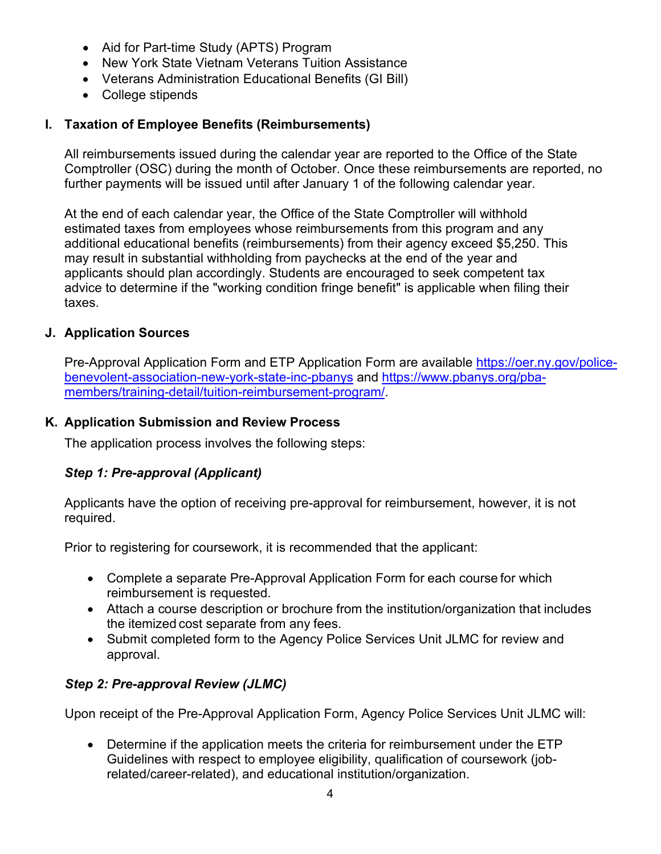- Aid for Part-time Study (APTS) Program
- New York State Vietnam Veterans Tuition Assistance
- Veterans Administration Educational Benefits (GI Bill)
- College stipends

# <span id="page-5-0"></span>**I. Taxation of Employee Benefits (Reimbursements)**

All reimbursements issued during the calendar year are reported to the Office of the State Comptroller (OSC) during the month of October. Once these reimbursements are reported, no further payments will be issued until after January 1 of the following calendar year.

At the end of each calendar year, the Office of the State Comptroller will withhold estimated taxes from employees whose reimbursements from this program and any additional educational benefits (reimbursements) from their agency exceed \$5,250. This may result in substantial withholding from paychecks at the end of the year and applicants should plan accordingly. Students are encouraged to seek competent tax advice to determine if the "working condition fringe benefit" is applicable when filing their taxes.

## <span id="page-5-1"></span>**J. Application Sources**

Pre-Approval Application Form and ETP Application Form are available [https://oer.ny.gov/police](https://oer.ny.gov/police-benevolent-association-new-york-state-inc-pbanys)[benevolent-association-new-york-state-inc-pbanys](https://oer.ny.gov/police-benevolent-association-new-york-state-inc-pbanys) and [https://www.pbanys.org/pba](https://gcc02.safelinks.protection.outlook.com/?url=https%3A%2F%2Fwww.pbanys.org%2Fpba-members%2Ftraining-detail%2Ftuition-reimbursement-program%2F&data=04%7C01%7CMelissa.Bombard%40goer.ny.gov%7C5ae157ac93494616375008da1404d0e0%7Cf46cb8ea79004d108ceb80e8c1c81ee7%7C0%7C0%7C637844308156041172%7CUnknown%7CTWFpbGZsb3d8eyJWIjoiMC4wLjAwMDAiLCJQIjoiV2luMzIiLCJBTiI6Ik1haWwiLCJXVCI6Mn0%3D%7C3000&sdata=xWjJW8Zugi%2FdEdav6HakUMfOkN%2Fq7L69CdsJ7RAoLm4%3D&reserved=0)[members/training-detail/tuition-reimbursement-program/.](https://gcc02.safelinks.protection.outlook.com/?url=https%3A%2F%2Fwww.pbanys.org%2Fpba-members%2Ftraining-detail%2Ftuition-reimbursement-program%2F&data=04%7C01%7CMelissa.Bombard%40goer.ny.gov%7C5ae157ac93494616375008da1404d0e0%7Cf46cb8ea79004d108ceb80e8c1c81ee7%7C0%7C0%7C637844308156041172%7CUnknown%7CTWFpbGZsb3d8eyJWIjoiMC4wLjAwMDAiLCJQIjoiV2luMzIiLCJBTiI6Ik1haWwiLCJXVCI6Mn0%3D%7C3000&sdata=xWjJW8Zugi%2FdEdav6HakUMfOkN%2Fq7L69CdsJ7RAoLm4%3D&reserved=0)

### <span id="page-5-2"></span>**K. Application Submission and Review Process**

The application process involves the following steps:

# *Step 1: Pre-approval (Applicant)*

Applicants have the option of receiving pre-approval for reimbursement, however, it is not required.

Prior to registering for coursework, it is recommended that the applicant:

- Complete a separate Pre-Approval Application Form for each course for which reimbursement is requested.
- Attach a course description or brochure from the institution/organization that includes the itemized cost separate from any fees.
- Submit completed form to the Agency Police Services Unit JLMC for review and approval.

# *Step 2: Pre-approval Review (JLMC)*

Upon receipt of the Pre-Approval Application Form, Agency Police Services Unit JLMC will:

• Determine if the application meets the criteria for reimbursement under the ETP Guidelines with respect to employee eligibility, qualification of coursework (jobrelated/career-related), and educational institution/organization.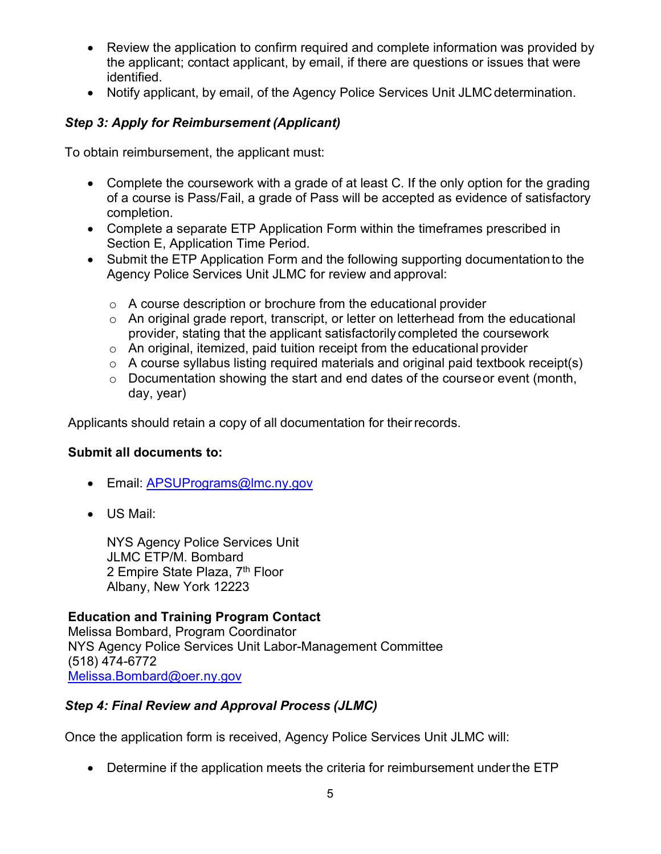- Review the application to confirm required and complete information was provided by the applicant; contact applicant, by email, if there are questions or issues that were identified.
- Notify applicant, by email, of the Agency Police Services Unit JLMC determination.

# *Step 3: Apply for Reimbursement (Applicant)*

To obtain reimbursement, the applicant must:

- Complete the coursework with a grade of at least C. If the only option for the grading of a course is Pass/Fail, a grade of Pass will be accepted as evidence of satisfactory completion.
- Complete a separate ETP Application Form within the timeframes prescribed in Section E, Application Time Period.
- Submit the ETP Application Form and the following supporting documentationto the Agency Police Services Unit JLMC for review and approval:
	- o A course description or brochure from the educational provider
	- o An original grade report, transcript, or letter on letterhead from the educational provider, stating that the applicant satisfactorily completed the coursework
	- o An original, itemized, paid tuition receipt from the educational provider
	- $\circ$  A course syllabus listing required materials and original paid textbook receipt(s)
	- o Documentation showing the start and end dates of the courseor event (month, day, year)

Applicants should retain a copy of all documentation for theirrecords.

#### **Submit all documents to:**

- Email: [APSUPrograms@lmc.ny.gov](mailto:APSUPrograms@lmc.ny.gov)
- US Mail:

NYS Agency Police Services Unit JLMC ETP/M. Bombard 2 Empire State Plaza, 7<sup>th</sup> Floor Albany, New York 12223

### **Education and Training Program Contact**

Melissa Bombard, Program Coordinator NYS Agency Police Services Unit Labor-Management Committee (518) 474-6772 [Melissa.Bombard@oer.ny.gov](mailto:Melissa.Bombard@oer.ny.gov)

### *Step 4: Final Review and Approval Process (JLMC)*

Once the application form is received, Agency Police Services Unit JLMC will:

• Determine if the application meets the criteria for reimbursement underthe ETP